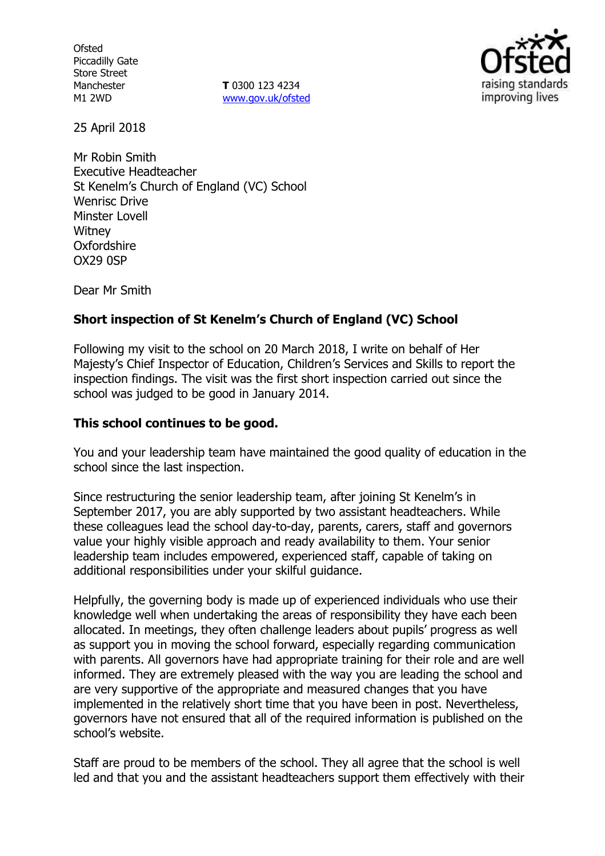**Ofsted** Piccadilly Gate Store Street Manchester M1 2WD

**T** 0300 123 4234 www.gov.uk/ofsted



25 April 2018

Mr Robin Smith Executive Headteacher St Kenelm's Church of England (VC) School Wenrisc Drive Minster Lovell **Witney Oxfordshire** OX29 0SP

Dear Mr Smith

## **Short inspection of St Kenelm's Church of England (VC) School**

Following my visit to the school on 20 March 2018, I write on behalf of Her Majesty's Chief Inspector of Education, Children's Services and Skills to report the inspection findings. The visit was the first short inspection carried out since the school was judged to be good in January 2014.

## **This school continues to be good.**

You and your leadership team have maintained the good quality of education in the school since the last inspection.

Since restructuring the senior leadership team, after joining St Kenelm's in September 2017, you are ably supported by two assistant headteachers. While these colleagues lead the school day-to-day, parents, carers, staff and governors value your highly visible approach and ready availability to them. Your senior leadership team includes empowered, experienced staff, capable of taking on additional responsibilities under your skilful guidance.

Helpfully, the governing body is made up of experienced individuals who use their knowledge well when undertaking the areas of responsibility they have each been allocated. In meetings, they often challenge leaders about pupils' progress as well as support you in moving the school forward, especially regarding communication with parents. All governors have had appropriate training for their role and are well informed. They are extremely pleased with the way you are leading the school and are very supportive of the appropriate and measured changes that you have implemented in the relatively short time that you have been in post. Nevertheless, governors have not ensured that all of the required information is published on the school's website.

Staff are proud to be members of the school. They all agree that the school is well led and that you and the assistant headteachers support them effectively with their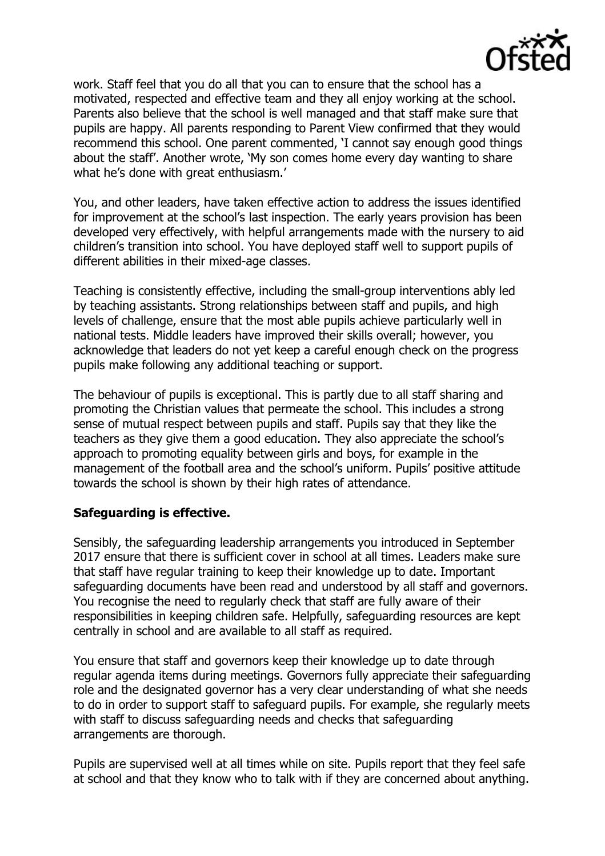

work. Staff feel that you do all that you can to ensure that the school has a motivated, respected and effective team and they all enjoy working at the school. Parents also believe that the school is well managed and that staff make sure that pupils are happy. All parents responding to Parent View confirmed that they would recommend this school. One parent commented, 'I cannot say enough good things about the staff'. Another wrote, 'My son comes home every day wanting to share what he's done with great enthusiasm.'

You, and other leaders, have taken effective action to address the issues identified for improvement at the school's last inspection. The early years provision has been developed very effectively, with helpful arrangements made with the nursery to aid children's transition into school. You have deployed staff well to support pupils of different abilities in their mixed-age classes.

Teaching is consistently effective, including the small-group interventions ably led by teaching assistants. Strong relationships between staff and pupils, and high levels of challenge, ensure that the most able pupils achieve particularly well in national tests. Middle leaders have improved their skills overall; however, you acknowledge that leaders do not yet keep a careful enough check on the progress pupils make following any additional teaching or support.

The behaviour of pupils is exceptional. This is partly due to all staff sharing and promoting the Christian values that permeate the school. This includes a strong sense of mutual respect between pupils and staff. Pupils say that they like the teachers as they give them a good education. They also appreciate the school's approach to promoting equality between girls and boys, for example in the management of the football area and the school's uniform. Pupils' positive attitude towards the school is shown by their high rates of attendance.

### **Safeguarding is effective.**

Sensibly, the safeguarding leadership arrangements you introduced in September 2017 ensure that there is sufficient cover in school at all times. Leaders make sure that staff have regular training to keep their knowledge up to date. Important safeguarding documents have been read and understood by all staff and governors. You recognise the need to regularly check that staff are fully aware of their responsibilities in keeping children safe. Helpfully, safeguarding resources are kept centrally in school and are available to all staff as required.

You ensure that staff and governors keep their knowledge up to date through regular agenda items during meetings. Governors fully appreciate their safeguarding role and the designated governor has a very clear understanding of what she needs to do in order to support staff to safeguard pupils. For example, she regularly meets with staff to discuss safeguarding needs and checks that safeguarding arrangements are thorough.

Pupils are supervised well at all times while on site. Pupils report that they feel safe at school and that they know who to talk with if they are concerned about anything.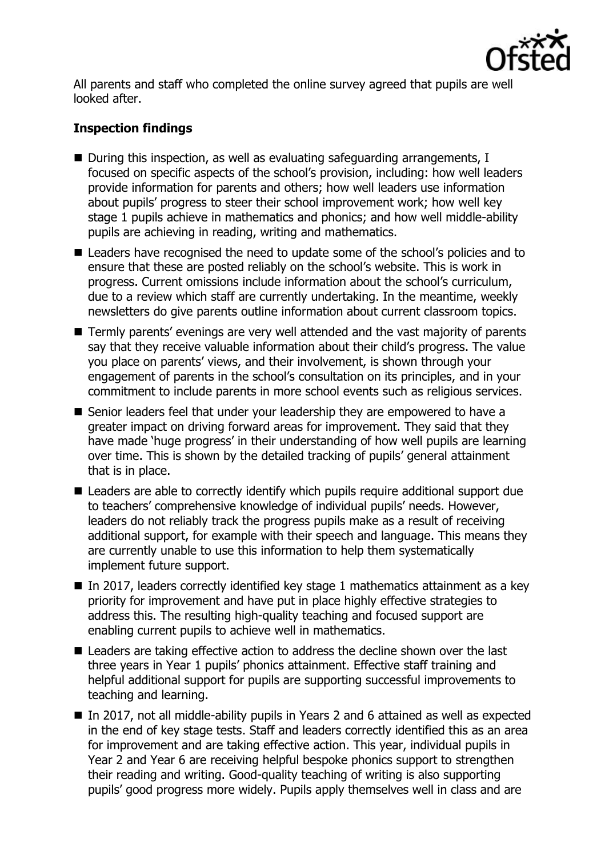

All parents and staff who completed the online survey agreed that pupils are well looked after.

# **Inspection findings**

- During this inspection, as well as evaluating safeguarding arrangements, I focused on specific aspects of the school's provision, including: how well leaders provide information for parents and others; how well leaders use information about pupils' progress to steer their school improvement work; how well key stage 1 pupils achieve in mathematics and phonics; and how well middle-ability pupils are achieving in reading, writing and mathematics.
- Leaders have recognised the need to update some of the school's policies and to ensure that these are posted reliably on the school's website. This is work in progress. Current omissions include information about the school's curriculum, due to a review which staff are currently undertaking. In the meantime, weekly newsletters do give parents outline information about current classroom topics.
- Termly parents' evenings are very well attended and the vast majority of parents say that they receive valuable information about their child's progress. The value you place on parents' views, and their involvement, is shown through your engagement of parents in the school's consultation on its principles, and in your commitment to include parents in more school events such as religious services.
- Senior leaders feel that under your leadership they are empowered to have a greater impact on driving forward areas for improvement. They said that they have made 'huge progress' in their understanding of how well pupils are learning over time. This is shown by the detailed tracking of pupils' general attainment that is in place.
- Leaders are able to correctly identify which pupils require additional support due to teachers' comprehensive knowledge of individual pupils' needs. However, leaders do not reliably track the progress pupils make as a result of receiving additional support, for example with their speech and language. This means they are currently unable to use this information to help them systematically implement future support.
- In 2017, leaders correctly identified key stage 1 mathematics attainment as a key priority for improvement and have put in place highly effective strategies to address this. The resulting high-quality teaching and focused support are enabling current pupils to achieve well in mathematics.
- **Leaders are taking effective action to address the decline shown over the last** three years in Year 1 pupils' phonics attainment. Effective staff training and helpful additional support for pupils are supporting successful improvements to teaching and learning.
- In 2017, not all middle-ability pupils in Years 2 and 6 attained as well as expected in the end of key stage tests. Staff and leaders correctly identified this as an area for improvement and are taking effective action. This year, individual pupils in Year 2 and Year 6 are receiving helpful bespoke phonics support to strengthen their reading and writing. Good-quality teaching of writing is also supporting pupils' good progress more widely. Pupils apply themselves well in class and are